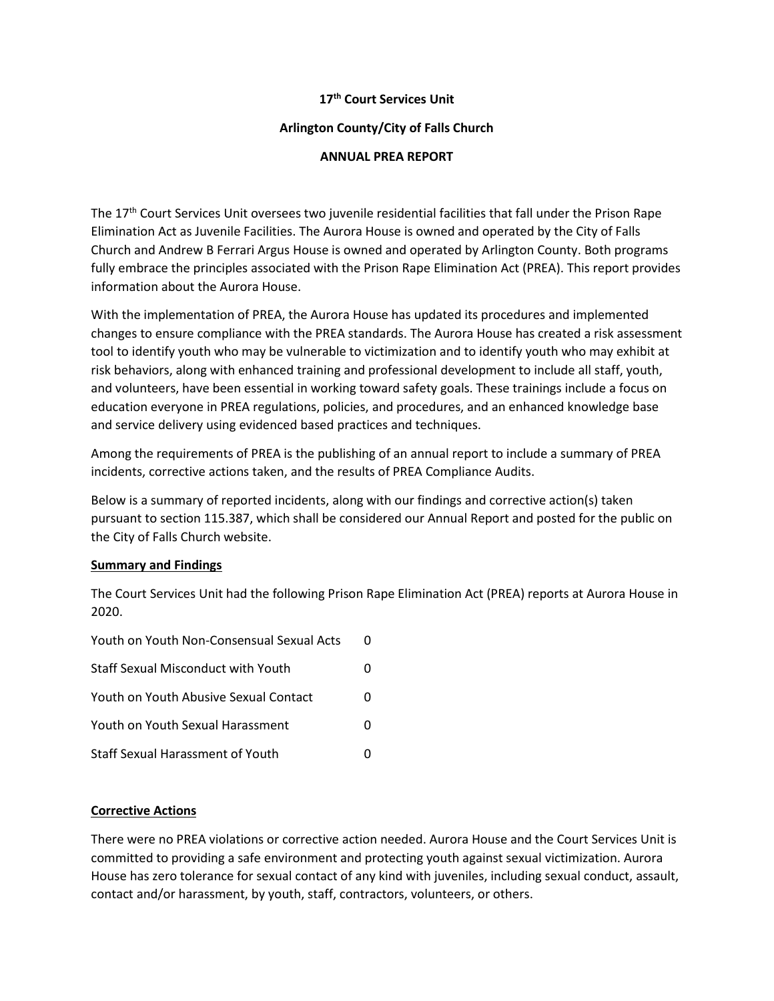# **17th Court Services Unit**

# **Arlington County/City of Falls Church**

# **ANNUAL PREA REPORT**

The 17<sup>th</sup> Court Services Unit oversees two juvenile residential facilities that fall under the Prison Rape Elimination Act as Juvenile Facilities. The Aurora House is owned and operated by the City of Falls Church and Andrew B Ferrari Argus House is owned and operated by Arlington County. Both programs fully embrace the principles associated with the Prison Rape Elimination Act (PREA). This report provides information about the Aurora House.

With the implementation of PREA, the Aurora House has updated its procedures and implemented changes to ensure compliance with the PREA standards. The Aurora House has created a risk assessment tool to identify youth who may be vulnerable to victimization and to identify youth who may exhibit at risk behaviors, along with enhanced training and professional development to include all staff, youth, and volunteers, have been essential in working toward safety goals. These trainings include a focus on education everyone in PREA regulations, policies, and procedures, and an enhanced knowledge base and service delivery using evidenced based practices and techniques.

Among the requirements of PREA is the publishing of an annual report to include a summary of PREA incidents, corrective actions taken, and the results of PREA Compliance Audits.

Below is a summary of reported incidents, along with our findings and corrective action(s) taken pursuant to section 115.387, which shall be considered our Annual Report and posted for the public on the City of Falls Church website.

#### **Summary and Findings**

The Court Services Unit had the following Prison Rape Elimination Act (PREA) reports at Aurora House in 2020.

| Youth on Youth Non-Consensual Sexual Acts | n |
|-------------------------------------------|---|
| <b>Staff Sexual Misconduct with Youth</b> | O |
| Youth on Youth Abusive Sexual Contact     | O |
| Youth on Youth Sexual Harassment          | O |
| <b>Staff Sexual Harassment of Youth</b>   |   |

# **Corrective Actions**

There were no PREA violations or corrective action needed. Aurora House and the Court Services Unit is committed to providing a safe environment and protecting youth against sexual victimization. Aurora House has zero tolerance for sexual contact of any kind with juveniles, including sexual conduct, assault, contact and/or harassment, by youth, staff, contractors, volunteers, or others.